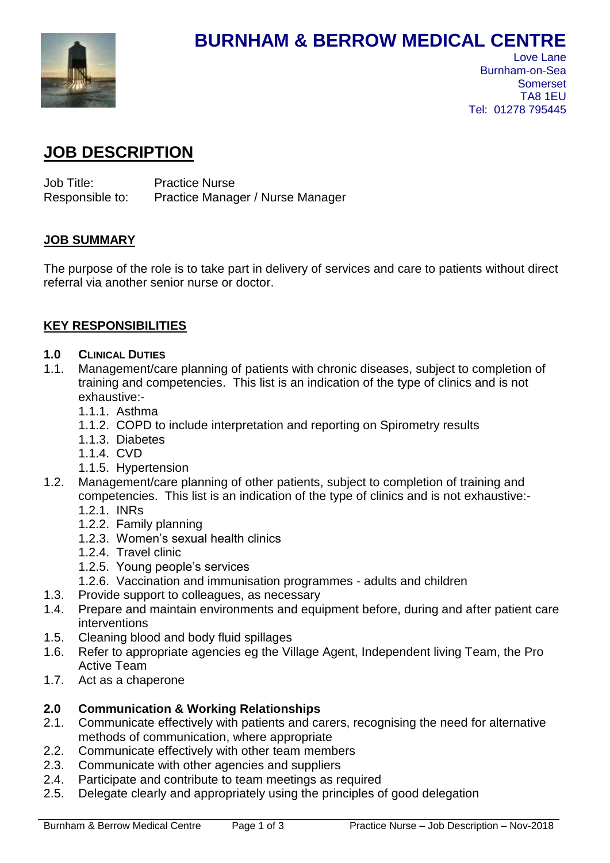

# **BURNHAM & BERROW MEDICAL CENTRE**

## **JOB DESCRIPTION**

Job Title: Practice Nurse Responsible to: Practice Manager / Nurse Manager

## **JOB SUMMARY**

The purpose of the role is to take part in delivery of services and care to patients without direct referral via another senior nurse or doctor.

## **KEY RESPONSIBILITIES**

#### **1.0 CLINICAL DUTIES**

- 1.1. Management/care planning of patients with chronic diseases, subject to completion of training and competencies. This list is an indication of the type of clinics and is not exhaustive:-
	- 1.1.1. Asthma
	- 1.1.2. COPD to include interpretation and reporting on Spirometry results
	- 1.1.3. Diabetes
	- 1.1.4. CVD
	- 1.1.5. Hypertension
- 1.2. Management/care planning of other patients, subject to completion of training and competencies. This list is an indication of the type of clinics and is not exhaustive:-
	- 1.2.1. INRs
	- 1.2.2. Family planning
	- 1.2.3. Women's sexual health clinics
	- 1.2.4. Travel clinic
	- 1.2.5. Young people's services
	- 1.2.6. Vaccination and immunisation programmes adults and children
- 1.3. Provide support to colleagues, as necessary
- 1.4. Prepare and maintain environments and equipment before, during and after patient care interventions
- 1.5. Cleaning blood and body fluid spillages
- 1.6. Refer to appropriate agencies eg the Village Agent, Independent living Team, the Pro Active Team
- 1.7. Act as a chaperone

## **2.0 Communication & Working Relationships**

- 2.1. Communicate effectively with patients and carers, recognising the need for alternative methods of communication, where appropriate
- 2.2. Communicate effectively with other team members
- 2.3. Communicate with other agencies and suppliers
- 2.4. Participate and contribute to team meetings as required
- 2.5. Delegate clearly and appropriately using the principles of good delegation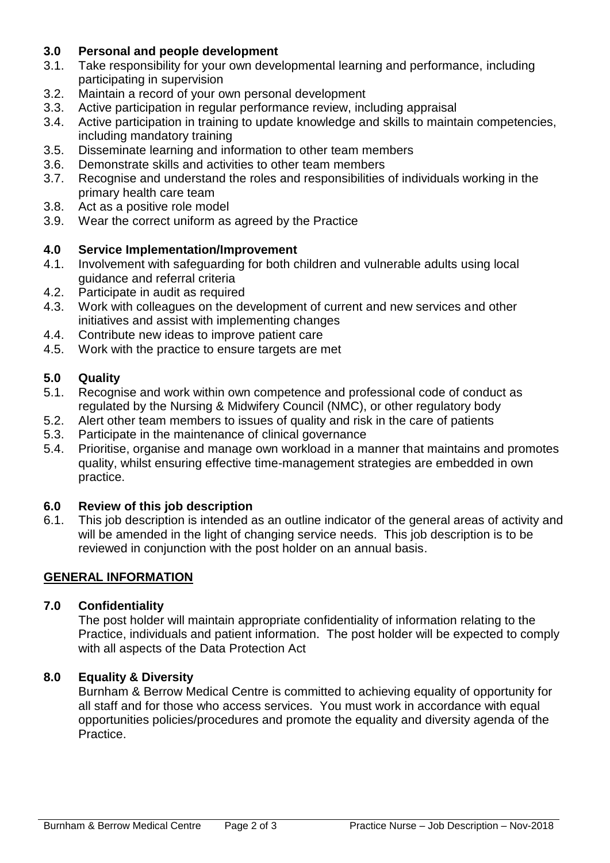## **3.0 Personal and people development**

- 3.1. Take responsibility for your own developmental learning and performance, including participating in supervision
- 3.2. Maintain a record of your own personal development
- 3.3. Active participation in regular performance review, including appraisal
- 3.4. Active participation in training to update knowledge and skills to maintain competencies, including mandatory training
- 3.5. Disseminate learning and information to other team members
- 3.6. Demonstrate skills and activities to other team members
- 3.7. Recognise and understand the roles and responsibilities of individuals working in the primary health care team
- 3.8. Act as a positive role model
- 3.9. Wear the correct uniform as agreed by the Practice

## **4.0 Service Implementation/Improvement**

- 4.1. Involvement with safeguarding for both children and vulnerable adults using local guidance and referral criteria
- 4.2. Participate in audit as required
- 4.3. Work with colleagues on the development of current and new services and other initiatives and assist with implementing changes
- 4.4. Contribute new ideas to improve patient care
- 4.5. Work with the practice to ensure targets are met

## **5.0 Quality**

- 5.1. Recognise and work within own competence and professional code of conduct as regulated by the Nursing & Midwifery Council (NMC), or other regulatory body
- 5.2. Alert other team members to issues of quality and risk in the care of patients
- 5.3. Participate in the maintenance of clinical governance
- 5.4. Prioritise, organise and manage own workload in a manner that maintains and promotes quality, whilst ensuring effective time-management strategies are embedded in own practice.

## **6.0 Review of this job description**

6.1. This job description is intended as an outline indicator of the general areas of activity and will be amended in the light of changing service needs. This job description is to be reviewed in conjunction with the post holder on an annual basis.

## **GENERAL INFORMATION**

## **7.0 Confidentiality**

The post holder will maintain appropriate confidentiality of information relating to the Practice, individuals and patient information. The post holder will be expected to comply with all aspects of the Data Protection Act

#### **8.0 Equality & Diversity**

Burnham & Berrow Medical Centre is committed to achieving equality of opportunity for all staff and for those who access services. You must work in accordance with equal opportunities policies/procedures and promote the equality and diversity agenda of the Practice.